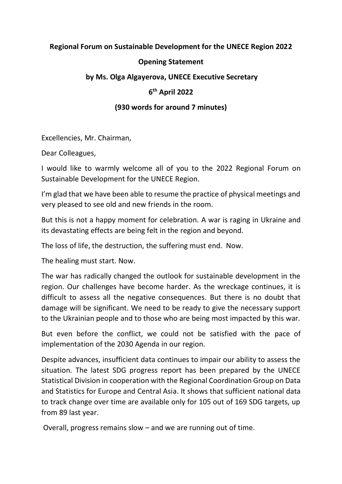## **Regional Forum on Sustainable Development for the UNECE Region 2022**

## **Opening Statement**

#### **by Ms. Olga Algayerova, UNECE Executive Secretary**

# **6 th April 2022**

## **(930 words for around 7 minutes)**

Excellencies, Mr. Chairman,

Dear Colleagues,

I would like to warmly welcome all of you to the 2022 Regional Forum on Sustainable Development for the UNECE Region.

I'm glad that we have been able to resume the practice of physical meetings and very pleased to see old and new friends in the room.

But this is not a happy moment for celebration. A war is raging in Ukraine and its devastating effects are being felt in the region and beyond.

The loss of life, the destruction, the suffering must end. Now.

The healing must start. Now.

The war has radically changed the outlook for sustainable development in the region. Our challenges have become harder. As the wreckage continues, it is difficult to assess all the negative consequences. But there is no doubt that damage will be significant. We need to be ready to give the necessary support to the Ukrainian people and to those who are being most impacted by this war.

But even before the conflict, we could not be satisfied with the pace of implementation of the 2030 Agenda in our region.

Despite advances, insufficient data continues to impair our ability to assess the situation. The latest SDG progress report has been prepared by the UNECE Statistical Division in cooperation with the Regional Coordination Group on Data and Statistics for Europe and Central Asia. It shows that sufficient national data to track change over time are available only for 105 out of 169 SDG targets, up from 89 last year.

Overall, progress remains slow – and we are running out of time.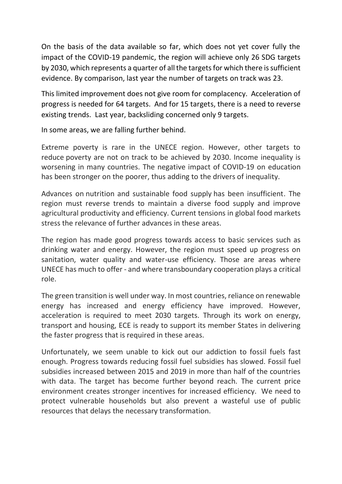On the basis of the data available so far, which does not yet cover fully the impact of the COVID-19 pandemic, the region will achieve only 26 SDG targets by 2030, which represents a quarter of all the targets for which there is sufficient evidence. By comparison, last year the number of targets on track was 23.

This limited improvement does not give room for complacency. Acceleration of progress is needed for 64 targets. And for 15 targets, there is a need to reverse existing trends. Last year, backsliding concerned only 9 targets.

In some areas, we are falling further behind.

Extreme poverty is rare in the UNECE region. However, other targets to reduce poverty are not on track to be achieved by 2030. Income inequality is worsening in many countries. The negative impact of COVID-19 on education has been stronger on the poorer, thus adding to the drivers of inequality.

Advances on nutrition and sustainable food supply has been insufficient. The region must reverse trends to maintain a diverse food supply and improve agricultural productivity and efficiency. Current tensions in global food markets stress the relevance of further advances in these areas.

The region has made good progress towards access to basic services such as drinking water and energy. However, the region must speed up progress on sanitation, water quality and water-use efficiency. Those are areas where UNECE has much to offer - and where transboundary cooperation plays a critical role.

The green transition is well under way. In most countries, reliance on renewable energy has increased and energy efficiency have improved. However, acceleration is required to meet 2030 targets. Through its work on energy, transport and housing, ECE is ready to support its member States in delivering the faster progress that is required in these areas.

Unfortunately, we seem unable to kick out our addiction to fossil fuels fast enough. Progress towards reducing fossil fuel subsidies has slowed. Fossil fuel subsidies increased between 2015 and 2019 in more than half of the countries with data. The target has become further beyond reach. The current price environment creates stronger incentives for increased efficiency. We need to protect vulnerable households but also prevent a wasteful use of public resources that delays the necessary transformation.